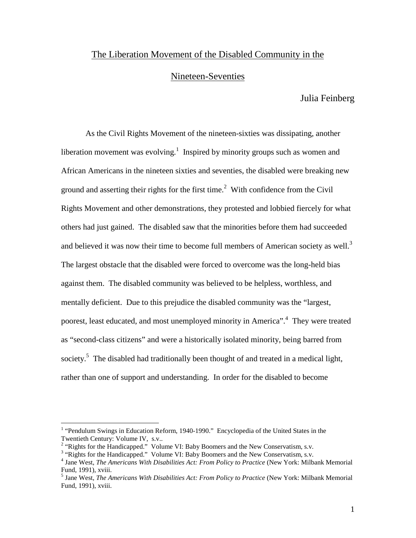## The Liberation Movement of the Disabled Community in the

## Nineteen-Seventies

Julia Feinberg

As the Civil Rights Movement of the nineteen-sixties was dissipating, another liberation movement was evolving.<sup>1</sup> Inspired by minority groups such as women and African Americans in the nineteen sixties and seventies, the disabled were breaking new ground and asserting their rights for the first time.<sup>2</sup> With confidence from the Civil Rights Movement and other demonstrations, they protested and lobbied fiercely for what others had just gained. The disabled saw that the minorities before them had succeeded and believed it was now their time to become full members of American society as well.<sup>3</sup> The largest obstacle that the disabled were forced to overcome was the long-held bias against them. The disabled community was believed to be helpless, worthless, and mentally deficient. Due to this prejudice the disabled community was the "largest, poorest, least educated, and most unemployed minority in America".<sup>4</sup> They were treated as "second-class citizens" and were a historically isolated minority, being barred from society.<sup>5</sup> The disabled had traditionally been thought of and treated in a medical light, rather than one of support and understanding. In order for the disabled to become

<sup>&</sup>lt;sup>1</sup> "Pendulum Swings in Education Reform, 1940-1990." Encyclopedia of the United States in the Twentieth Century: Volume IV, s.v..<br><sup>2</sup> "Rights for the Handicapped." Volume VI: Baby Boomers and the New Conservatism, s.v.

<sup>&</sup>lt;sup>3</sup> "Rights for the Handicapped." Volume VI: Baby Boomers and the New Conservatism, s.v.

<sup>4</sup> Jane West, *The Americans With Disabilities Act: From Policy to Practice* (New York: Milbank Memorial Fund, 1991), xviii.

<sup>5</sup> Jane West, *The Americans With Disabilities Act: From Policy to Practice* (New York: Milbank Memorial Fund, 1991), xviii.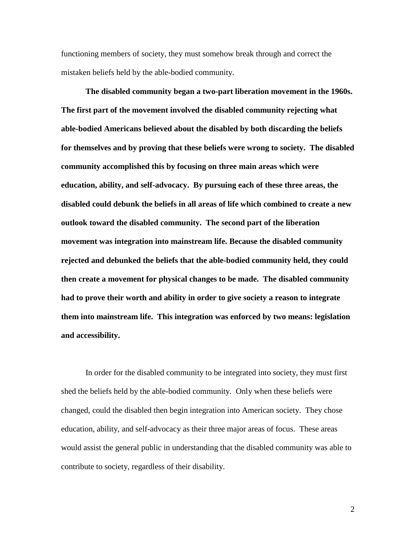functioning members of society, they must somehow break through and correct the mistaken beliefs held by the able-bodied community.

**The disabled community began a two-part liberation movement in the 1960s. The first part of the movement involved the disabled community rejecting what able-bodied Americans believed about the disabled by both discarding the beliefs for themselves and by proving that these beliefs were wrong to society. The disabled community accomplished this by focusing on three main areas which were education, ability, and self-advocacy. By pursuing each of these three areas, the disabled could debunk the beliefs in all areas of life which combined to create a new outlook toward the disabled community. The second part of the liberation movement was integration into mainstream life. Because the disabled community rejected and debunked the beliefs that the able-bodied community held, they could then create a movement for physical changes to be made. The disabled community had to prove their worth and ability in order to give society a reason to integrate them into mainstream life. This integration was enforced by two means: legislation and accessibility.**

In order for the disabled community to be integrated into society, they must first shed the beliefs held by the able-bodied community. Only when these beliefs were changed, could the disabled then begin integration into American society. They chose education, ability, and self-advocacy as their three major areas of focus. These areas would assist the general public in understanding that the disabled community was able to contribute to society, regardless of their disability.

2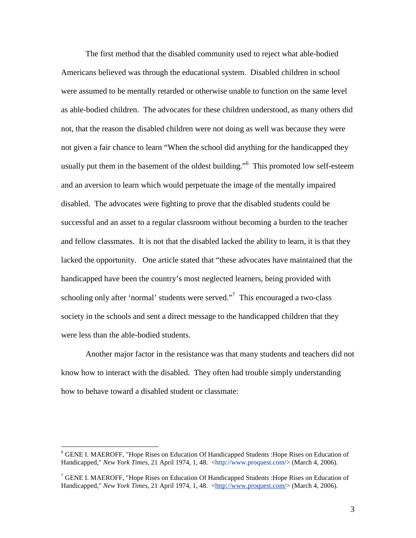The first method that the disabled community used to reject what able-bodied Americans believed was through the educational system. Disabled children in school were assumed to be mentally retarded or otherwise unable to function on the same level as able-bodied children. The advocates for these children understood, as many others did not, that the reason the disabled children were not doing as well was because they were not given a fair chance to learn "When the school did anything for the handicapped they usually put them in the basement of the oldest building."<sup>6</sup> This promoted low self-esteem and an aversion to learn which would perpetuate the image of the mentally impaired disabled. The advocates were fighting to prove that the disabled students could be successful and an asset to a regular classroom without becoming a burden to the teacher and fellow classmates. It is not that the disabled lacked the ability to learn, it is that they lacked the opportunity. One article stated that "these advocates have maintained that the handicapped have been the country's most neglected learners, being provided with schooling only after 'normal' students were served."<sup>7</sup> This encouraged a two-class society in the schools and sent a direct message to the handicapped children that they were less than the able-bodied students.

Another major factor in the resistance was that many students and teachers did not know how to interact with the disabled. They often had trouble simply understanding how to behave toward a disabled student or classmate:

 <sup>6</sup> GENE I. MAEROFF, "Hope Rises on Education Of Handicapped Students :Hope Rises on Education of Handicapped," *New York Times*, 21 April 1974, 1, 48. [<http://www.proquest.com/>](http://www.proquest.com/) (March 4, 2006).

<sup>7</sup> GENE I. MAEROFF, "Hope Rises on Education Of Handicapped Students :Hope Rises on Education of Handicapped," *New York Times*, 21 April 1974, 1, 48. [<http://www.proquest.com/>](http://www.proquest.com/) (March 4, 2006).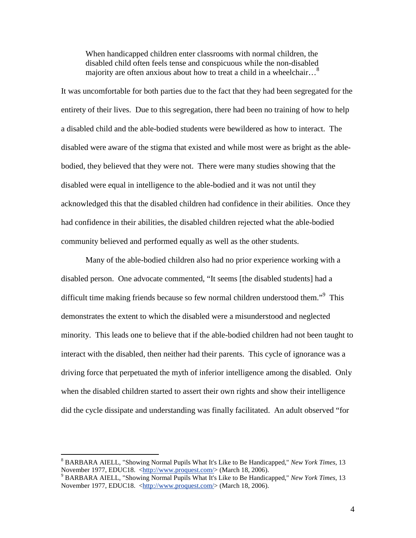When handicapped children enter classrooms with normal children, the disabled child often feels tense and conspicuous while the non-disabled majority are often anxious about how to treat a child in a wheelchair...<sup>8</sup>

It was uncomfortable for both parties due to the fact that they had been segregated for the entirety of their lives. Due to this segregation, there had been no training of how to help a disabled child and the able-bodied students were bewildered as how to interact. The disabled were aware of the stigma that existed and while most were as bright as the ablebodied, they believed that they were not. There were many studies showing that the disabled were equal in intelligence to the able-bodied and it was not until they acknowledged this that the disabled children had confidence in their abilities. Once they had confidence in their abilities, the disabled children rejected what the able-bodied community believed and performed equally as well as the other students.

Many of the able-bodied children also had no prior experience working with a disabled person. One advocate commented, "It seems [the disabled students] had a difficult time making friends because so few normal children understood them."<sup>9</sup> This demonstrates the extent to which the disabled were a misunderstood and neglected minority. This leads one to believe that if the able-bodied children had not been taught to interact with the disabled, then neither had their parents. This cycle of ignorance was a driving force that perpetuated the myth of inferior intelligence among the disabled. Only when the disabled children started to assert their own rights and show their intelligence did the cycle dissipate and understanding was finally facilitated. An adult observed "for

 <sup>8</sup> BARBARA AIELL, "Showing Normal Pupils What It's Like to Be Handicapped," *New York Times*, 13 November 1977, EDUC18. [<http://www.proquest.com/>](http://www.proquest.com/) (March 18, 2006).<br><sup>9</sup> BARBARA AIELL, "Showing Normal Pupils What It's Like to Be Handicapped," *New York Times*, 13

November 1977, EDUC18. [<http://www.proquest.com/>](http://www.proquest.com/) (March 18, 2006).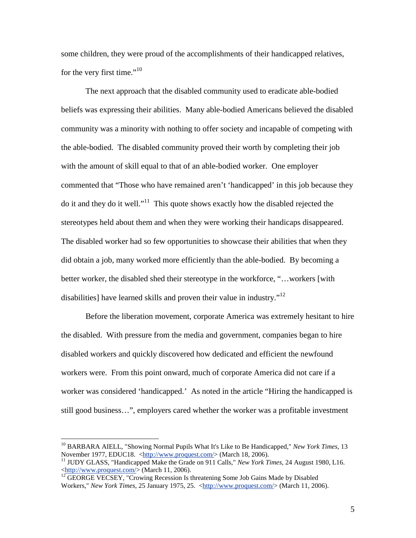some children, they were proud of the accomplishments of their handicapped relatives, for the very first time."<sup>10</sup>

The next approach that the disabled community used to eradicate able-bodied beliefs was expressing their abilities. Many able-bodied Americans believed the disabled community was a minority with nothing to offer society and incapable of competing with the able-bodied. The disabled community proved their worth by completing their job with the amount of skill equal to that of an able-bodied worker. One employer commented that "Those who have remained aren't 'handicapped' in this job because they do it and they do it well."11 This quote shows exactly how the disabled rejected the stereotypes held about them and when they were working their handicaps disappeared. The disabled worker had so few opportunities to showcase their abilities that when they did obtain a job, many worked more efficiently than the able-bodied. By becoming a better worker, the disabled shed their stereotype in the workforce, "…workers [with disabilities] have learned skills and proven their value in industry."<sup>12</sup>

Before the liberation movement, corporate America was extremely hesitant to hire the disabled. With pressure from the media and government, companies began to hire disabled workers and quickly discovered how dedicated and efficient the newfound workers were. From this point onward, much of corporate America did not care if a worker was considered 'handicapped.' As noted in the article "Hiring the handicapped is still good business…", employers cared whether the worker was a profitable investment

<sup>&</sup>lt;sup>10</sup> BARBARA AIELL, "Showing Normal Pupils What It's Like to Be Handicapped," *New York Times*, 13<br>November 1977, EDUC18. <http://www.proquest.com/> (March 18, 2006).

 $11$  JUDY GLASS, "Handicapped Make the Grade on 911 Calls," *New York Times*, 24 August 1980, L16. [<http://www.proquest.com/>](http://www.proquest.com/) (March 11, 2006). <sup>12</sup> GEORGE VECSEY, "Crowing Recession Is threatening Some Job Gains Made by Disabled

Workers," *New York Times*, 25 January 1975, 25. [<http://www.proquest.com/>](http://www.proquest.com/) (March 11, 2006).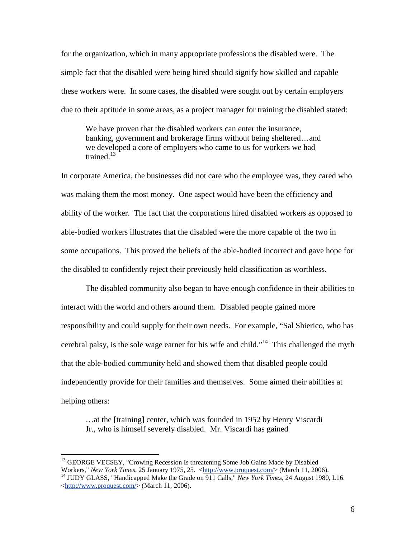for the organization, which in many appropriate professions the disabled were. The simple fact that the disabled were being hired should signify how skilled and capable these workers were. In some cases, the disabled were sought out by certain employers due to their aptitude in some areas, as a project manager for training the disabled stated:

We have proven that the disabled workers can enter the insurance, banking, government and brokerage firms without being sheltered…and we developed a core of employers who came to us for workers we had trained  $13$ 

In corporate America, the businesses did not care who the employee was, they cared who was making them the most money. One aspect would have been the efficiency and ability of the worker. The fact that the corporations hired disabled workers as opposed to able-bodied workers illustrates that the disabled were the more capable of the two in some occupations. This proved the beliefs of the able-bodied incorrect and gave hope for the disabled to confidently reject their previously held classification as worthless.

The disabled community also began to have enough confidence in their abilities to interact with the world and others around them. Disabled people gained more responsibility and could supply for their own needs. For example, "Sal Shierico, who has cerebral palsy, is the sole wage earner for his wife and child."<sup>14</sup> This challenged the myth that the able-bodied community held and showed them that disabled people could independently provide for their families and themselves. Some aimed their abilities at helping others:

…at the [training] center, which was founded in 1952 by Henry Viscardi Jr., who is himself severely disabled. Mr. Viscardi has gained

<sup>&</sup>lt;sup>13</sup> GEORGE VECSEY, "Crowing Recession Is threatening Some Job Gains Made by Disabled Workers," *New York Times*, 25 January 1975, 25. <http://www.proquest.com/> (March 11, 2006). <sup>14</sup> JUDY GLASS, "Handicapped Make the Grade on 911 Calls," *New York Times*, 24 August 1980, L16. [<http://www.proquest.com/>](http://www.proquest.com/) (March 11, 2006).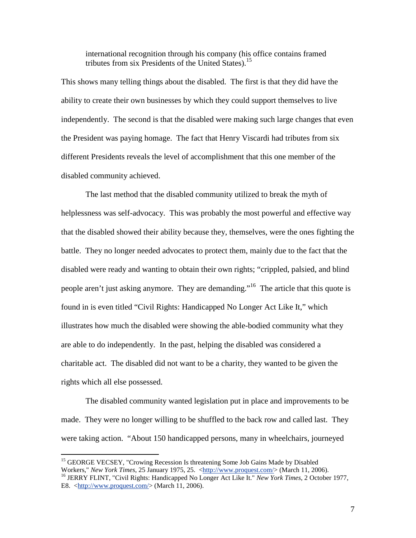international recognition through his company (his office contains framed tributes from six Presidents of the United States).<sup>15</sup>

This shows many telling things about the disabled. The first is that they did have the ability to create their own businesses by which they could support themselves to live independently. The second is that the disabled were making such large changes that even the President was paying homage. The fact that Henry Viscardi had tributes from six different Presidents reveals the level of accomplishment that this one member of the disabled community achieved.

The last method that the disabled community utilized to break the myth of helplessness was self-advocacy. This was probably the most powerful and effective way that the disabled showed their ability because they, themselves, were the ones fighting the battle. They no longer needed advocates to protect them, mainly due to the fact that the disabled were ready and wanting to obtain their own rights; "crippled, palsied, and blind people aren't just asking anymore. They are demanding."<sup>16</sup> The article that this quote is found in is even titled "Civil Rights: Handicapped No Longer Act Like It," which illustrates how much the disabled were showing the able-bodied community what they are able to do independently. In the past, helping the disabled was considered a charitable act. The disabled did not want to be a charity, they wanted to be given the rights which all else possessed.

The disabled community wanted legislation put in place and improvements to be made. They were no longer willing to be shuffled to the back row and called last. They were taking action. "About 150 handicapped persons, many in wheelchairs, journeyed

<sup>&</sup>lt;sup>15</sup> GEORGE VECSEY, "Crowing Recession Is threatening Some Job Gains Made by Disabled Workers," *New York Times*, 25 January 1975, 25. <http://www.proquest.com/> (March 11, 2006). <sup>16</sup> JERRY FLINT, "Civil Rights: Handicapped No Longer Act Like It." *New York Times*, 2 October 1977, E8. [<http://www.proquest.com/>](http://www.proquest.com/) (March 11, 2006).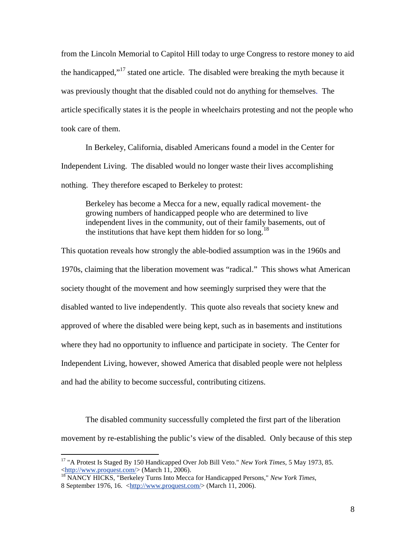from the Lincoln Memorial to Capitol Hill today to urge Congress to restore money to aid the handicapped, $1^{17}$  stated one article. The disabled were breaking the myth because it was previously thought that the disabled could not do anything for themselves. The article specifically states it is the people in wheelchairs protesting and not the people who took care of them.

In Berkeley, California, disabled Americans found a model in the Center for Independent Living. The disabled would no longer waste their lives accomplishing nothing. They therefore escaped to Berkeley to protest:

Berkeley has become a Mecca for a new, equally radical movement- the growing numbers of handicapped people who are determined to live independent lives in the community, out of their family basements, out of the institutions that have kept them hidden for so  $long.^{18}$ .

This quotation reveals how strongly the able-bodied assumption was in the 1960s and 1970s, claiming that the liberation movement was "radical." This shows what American society thought of the movement and how seemingly surprised they were that the disabled wanted to live independently. This quote also reveals that society knew and approved of where the disabled were being kept, such as in basements and institutions where they had no opportunity to influence and participate in society. The Center for Independent Living, however, showed America that disabled people were not helpless and had the ability to become successful, contributing citizens.

The disabled community successfully completed the first part of the liberation movement by re-establishing the public's view of the disabled. Only because of this step

 <sup>17</sup> "A Protest Is Staged By 150 Handicapped Over Job Bill Veto." *New York Times*, 5 May 1973, 85. [<http://www.proquest.com/>](http://www.proquest.com/) (March 11, 2006). <sup>18</sup> NANCY HICKS, "Berkeley Turns Into Mecca for Handicapped Persons," *New York Times*,

<sup>8</sup> September 1976, 16. [<http://www.proquest.com/>](http://www.proquest.com/) (March 11, 2006).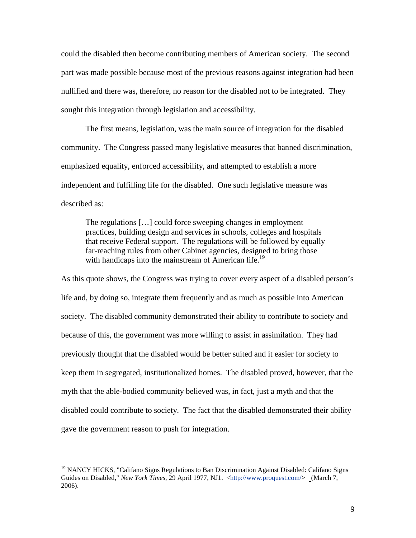could the disabled then become contributing members of American society. The second part was made possible because most of the previous reasons against integration had been nullified and there was, therefore, no reason for the disabled not to be integrated. They sought this integration through legislation and accessibility.

The first means, legislation, was the main source of integration for the disabled community. The Congress passed many legislative measures that banned discrimination, emphasized equality, enforced accessibility, and attempted to establish a more independent and fulfilling life for the disabled. One such legislative measure was described as:

The regulations […] could force sweeping changes in employment practices, building design and services in schools, colleges and hospitals that receive Federal support. The regulations will be followed by equally far-reaching rules from other Cabinet agencies, designed to bring those with handicaps into the mainstream of American life.<sup>19</sup>

As this quote shows, the Congress was trying to cover every aspect of a disabled person's life and, by doing so, integrate them frequently and as much as possible into American society. The disabled community demonstrated their ability to contribute to society and because of this, the government was more willing to assist in assimilation. They had previously thought that the disabled would be better suited and it easier for society to keep them in segregated, institutionalized homes. The disabled proved, however, that the myth that the able-bodied community believed was, in fact, just a myth and that the disabled could contribute to society. The fact that the disabled demonstrated their ability gave the government reason to push for integration.

<sup>&</sup>lt;sup>19</sup> NANCY HICKS, "Califano Signs Regulations to Ban Discrimination Against Disabled: Califano Signs Guides on Disabled," *New York Times, 29 April 1977, NJ1.* [<http://www.proquest.com/>](http://www.proquest.com/) (March 7, 2006).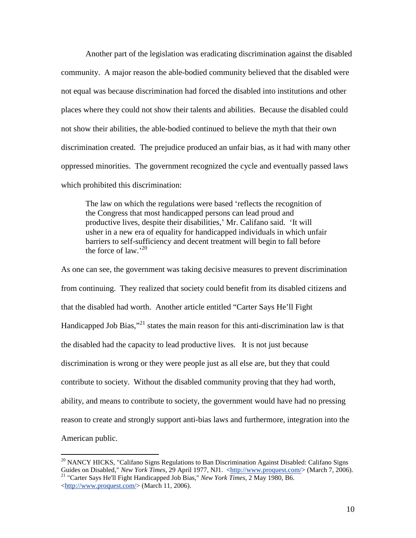Another part of the legislation was eradicating discrimination against the disabled community. A major reason the able-bodied community believed that the disabled were not equal was because discrimination had forced the disabled into institutions and other places where they could not show their talents and abilities. Because the disabled could not show their abilities, the able-bodied continued to believe the myth that their own discrimination created. The prejudice produced an unfair bias, as it had with many other oppressed minorities. The government recognized the cycle and eventually passed laws which prohibited this discrimination:

The law on which the regulations were based 'reflects the recognition of the Congress that most handicapped persons can lead proud and productive lives, despite their disabilities,' Mr. Califano said. 'It will usher in a new era of equality for handicapped individuals in which unfair barriers to self-sufficiency and decent treatment will begin to fall before the force of law.<sup>20</sup>

As one can see, the government was taking decisive measures to prevent discrimination from continuing. They realized that society could benefit from its disabled citizens and that the disabled had worth. Another article entitled "Carter Says He'll Fight Handicapped Job Bias,"<sup>21</sup> states the main reason for this anti-discrimination law is that the disabled had the capacity to lead productive lives. It is not just because discrimination is wrong or they were people just as all else are, but they that could contribute to society. Without the disabled community proving that they had worth, ability, and means to contribute to society, the government would have had no pressing reason to create and strongly support anti-bias laws and furthermore, integration into the American public.

<sup>&</sup>lt;sup>20</sup> NANCY HICKS, "Califano Signs Regulations to Ban Discrimination Against Disabled: Califano Signs Guides on Disabled," *New York Times,* 29 April 1977, NJ1. [<http://www.proquest.com/>](http://www.proquest.com/) (March 7, 2006).<br><sup>21</sup> "Carter Says He'll Fight Handicapped Job Bias," *New York Times*, 2 May 1980, B6. [<http://www.proquest.com/>](http://www.proquest.com/) (March 11, 2006).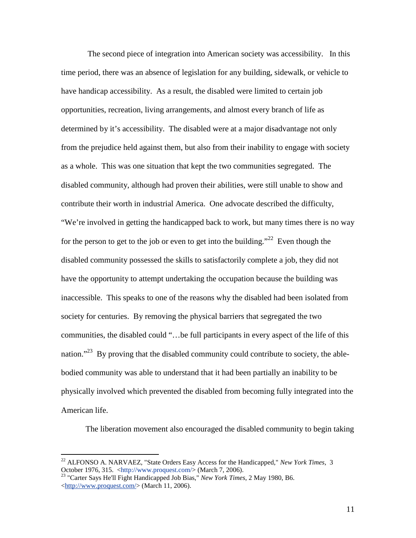The second piece of integration into American society was accessibility. In this time period, there was an absence of legislation for any building, sidewalk, or vehicle to have handicap accessibility. As a result, the disabled were limited to certain job opportunities, recreation, living arrangements, and almost every branch of life as determined by it's accessibility. The disabled were at a major disadvantage not only from the prejudice held against them, but also from their inability to engage with society as a whole. This was one situation that kept the two communities segregated. The disabled community, although had proven their abilities, were still unable to show and contribute their worth in industrial America. One advocate described the difficulty, "We're involved in getting the handicapped back to work, but many times there is no way for the person to get to the job or even to get into the building."<sup>22</sup> Even though the disabled community possessed the skills to satisfactorily complete a job, they did not have the opportunity to attempt undertaking the occupation because the building was inaccessible. This speaks to one of the reasons why the disabled had been isolated from society for centuries. By removing the physical barriers that segregated the two communities, the disabled could "…be full participants in every aspect of the life of this nation."<sup>23</sup> By proving that the disabled community could contribute to society, the ablebodied community was able to understand that it had been partially an inability to be physically involved which prevented the disabled from becoming fully integrated into the American life.

The liberation movement also encouraged the disabled community to begin taking

 <sup>22</sup> ALFONSO A. NARVAEZ, "State Orders Easy Access for the Handicapped," *New York Times*, <sup>3</sup> October 1976, 315. [<http://www.proquest.com/>](http://www.proquest.com/) (March 7, 2006).<br><sup>23</sup> "Carter Says He'll Fight Handicapped Job Bias," *New York Times*, 2 May 1980, B6.

[<sup>&</sup>lt;http://www.proquest.com/>](http://www.proquest.com/) (March 11, 2006).